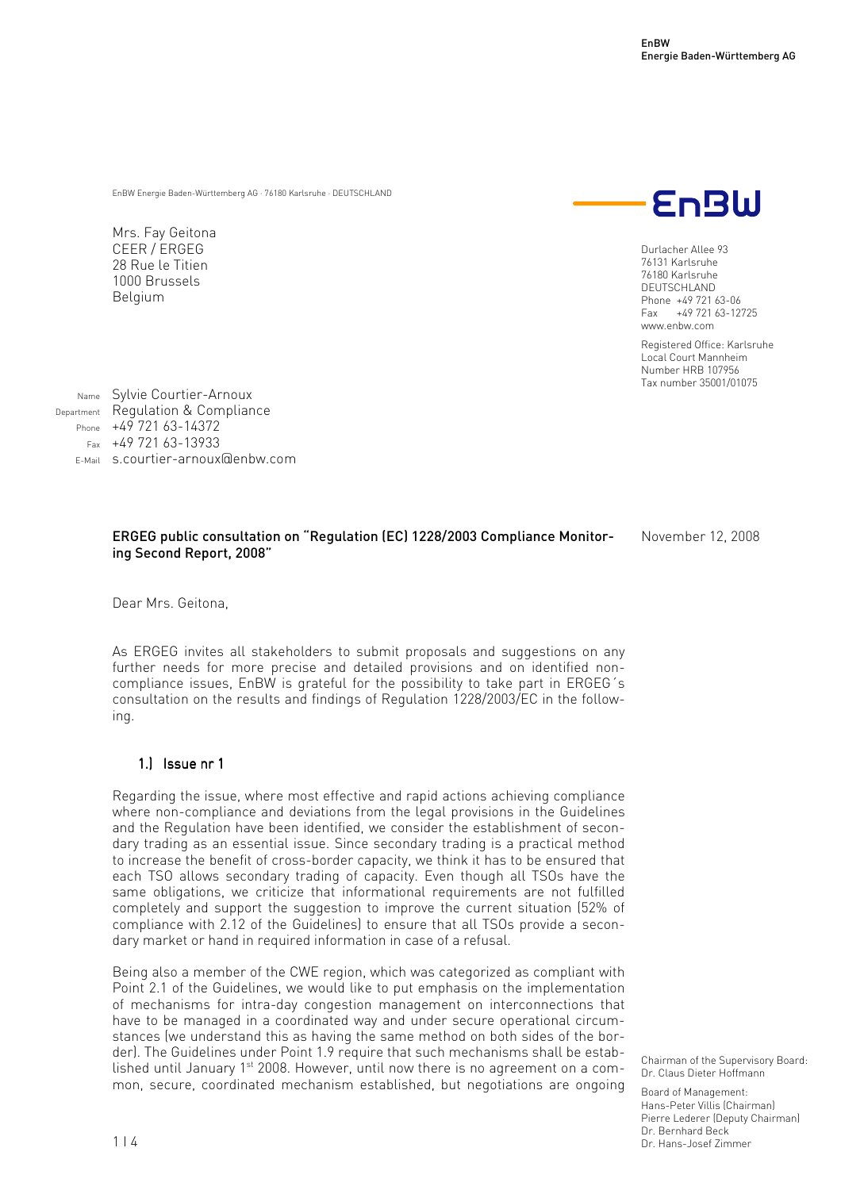EnBW Energie Baden-Württemberg AG · 76180 Karlsruhe · DEUTSCHLAND

Mrs. Fay Geitona CEER / ERGEG 28 Rue le Titien 1000 Brussels Belgium



Durlacher Allee 93 76131 Karlsruhe 76180 Karlsruhe DEUTSCHLAND Phone +49 721 63-06 Fax +49 721 63-12725 www.enbw.com

Registered Office: Karlsruhe Local Court Mannheim Number HRB 107956 Tax number 35001/01075

Name Sylvie Courtier-Arnoux Department Regulation & Compliance Phone +49 721 63-14372  $F_{\text{ax}}$  +49 721 63-13933 E-Mail s.courtier-arnoux@enbw.com

## ERGEG public consultation on "Regulation (EC) 1228/2003 Compliance Monitoring Second Report, 2008"

November 12, 2008

Dear Mrs. Geitona,

As ERGEG invites all stakeholders to submit proposals and suggestions on any further needs for more precise and detailed provisions and on identified noncompliance issues, EnBW is grateful for the possibility to take part in ERGEG´s consultation on the results and findings of Regulation 1228/2003/EC in the following.

## 1.) Issue nr 1

Regarding the issue, where most effective and rapid actions achieving compliance where non-compliance and deviations from the legal provisions in the Guidelines and the Regulation have been identified, we consider the establishment of secondary trading as an essential issue. Since secondary trading is a practical method to increase the benefit of cross-border capacity, we think it has to be ensured that each TSO allows secondary trading of capacity. Even though all TSOs have the same obligations, we criticize that informational requirements are not fulfilled completely and support the suggestion to improve the current situation (52% of compliance with 2.12 of the Guidelines) to ensure that all TSOs provide a secondary market or hand in required information in case of a refusal.

Being also a member of the CWE region, which was categorized as compliant with Point 2.1 of the Guidelines, we would like to put emphasis on the implementation of mechanisms for intra-day congestion management on interconnections that have to be managed in a coordinated way and under secure operational circumstances (we understand this as having the same method on both sides of the border). The Guidelines under Point 1.9 require that such mechanisms shall be established until January 1<sup>st</sup> 2008. However, until now there is no agreement on a common, secure, coordinated mechanism established, but negotiations are ongoing

Chairman of the Supervisory Board: Dr. Claus Dieter Hoffmann

Board of Management: Hans-Peter Villis (Chairman) Pierre Lederer (Deputy Chairman) Dr. Bernhard Beck Dr. Hans-Josef Zimmer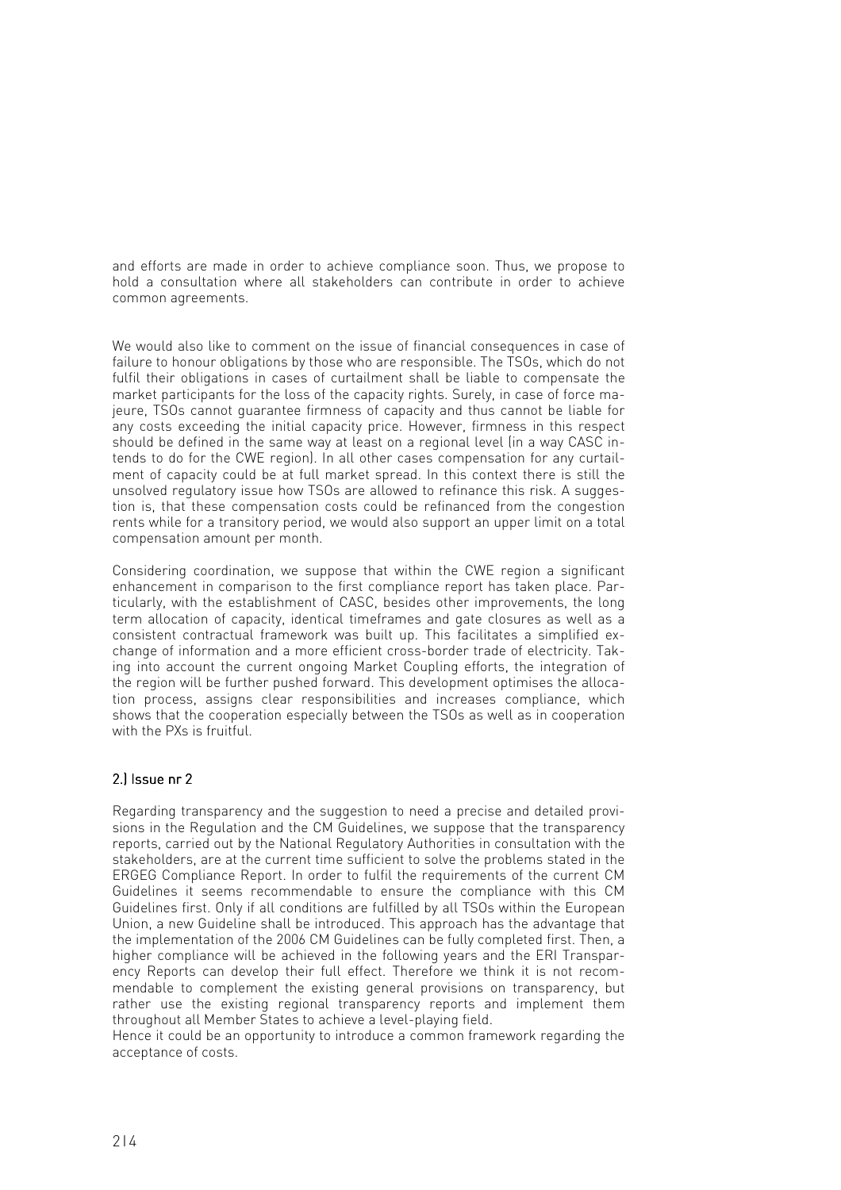and efforts are made in order to achieve compliance soon. Thus, we propose to hold a consultation where all stakeholders can contribute in order to achieve common agreements.

We would also like to comment on the issue of financial consequences in case of failure to honour obligations by those who are responsible. The TSOs, which do not fulfil their obligations in cases of curtailment shall be liable to compensate the market participants for the loss of the capacity rights. Surely, in case of force majeure, TSOs cannot guarantee firmness of capacity and thus cannot be liable for any costs exceeding the initial capacity price. However, firmness in this respect should be defined in the same way at least on a regional level (in a way CASC intends to do for the CWE region). In all other cases compensation for any curtailment of capacity could be at full market spread. In this context there is still the unsolved regulatory issue how TSOs are allowed to refinance this risk. A suggestion is, that these compensation costs could be refinanced from the congestion rents while for a transitory period, we would also support an upper limit on a total compensation amount per month.

Considering coordination, we suppose that within the CWE region a significant enhancement in comparison to the first compliance report has taken place. Particularly, with the establishment of CASC, besides other improvements, the long term allocation of capacity, identical timeframes and gate closures as well as a consistent contractual framework was built up. This facilitates a simplified exchange of information and a more efficient cross-border trade of electricity. Taking into account the current ongoing Market Coupling efforts, the integration of the region will be further pushed forward. This development optimises the allocation process, assigns clear responsibilities and increases compliance, which shows that the cooperation especially between the TSOs as well as in cooperation with the PXs is fruitful.

## $2.$ ) Issue nr  $2.$

Regarding transparency and the suggestion to need a precise and detailed provisions in the Regulation and the CM Guidelines, we suppose that the transparency reports, carried out by the National Regulatory Authorities in consultation with the stakeholders, are at the current time sufficient to solve the problems stated in the ERGEG Compliance Report. In order to fulfil the requirements of the current CM Guidelines it seems recommendable to ensure the compliance with this CM Guidelines first. Only if all conditions are fulfilled by all TSOs within the European Union, a new Guideline shall be introduced. This approach has the advantage that the implementation of the 2006 CM Guidelines can be fully completed first. Then, a higher compliance will be achieved in the following years and the ERI Transparency Reports can develop their full effect. Therefore we think it is not recommendable to complement the existing general provisions on transparency, but rather use the existing regional transparency reports and implement them throughout all Member States to achieve a level-playing field.

Hence it could be an opportunity to introduce a common framework regarding the acceptance of costs.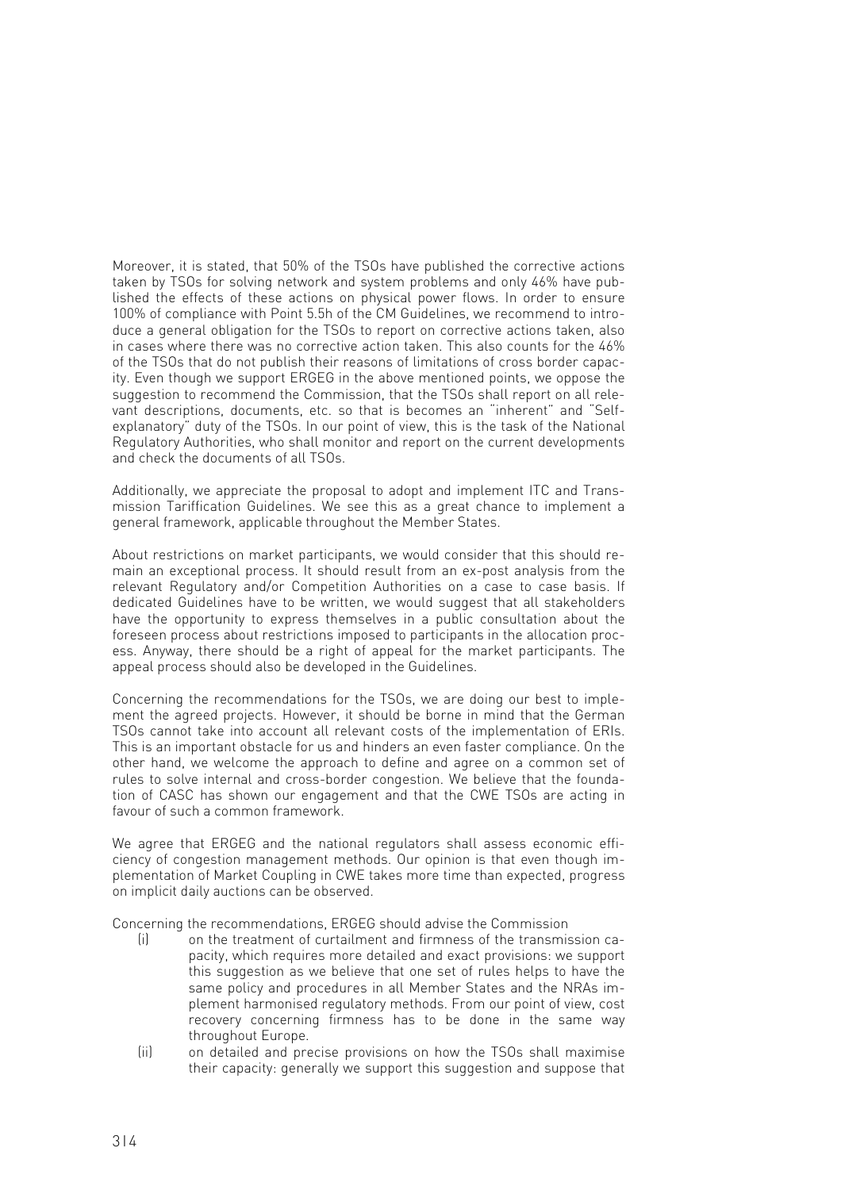Moreover, it is stated, that 50% of the TSOs have published the corrective actions taken by TSOs for solving network and system problems and only 46% have published the effects of these actions on physical power flows. In order to ensure 100% of compliance with Point 5.5h of the CM Guidelines, we recommend to introduce a general obligation for the TSOs to report on corrective actions taken, also in cases where there was no corrective action taken. This also counts for the 46% of the TSOs that do not publish their reasons of limitations of cross border capacity. Even though we support ERGEG in the above mentioned points, we oppose the suggestion to recommend the Commission, that the TSOs shall report on all relevant descriptions, documents, etc. so that is becomes an "inherent" and "Selfexplanatory" duty of the TSOs. In our point of view, this is the task of the National Regulatory Authorities, who shall monitor and report on the current developments and check the documents of all TSOs.

Additionally, we appreciate the proposal to adopt and implement ITC and Transmission Tariffication Guidelines. We see this as a great chance to implement a general framework, applicable throughout the Member States.

About restrictions on market participants, we would consider that this should remain an exceptional process. It should result from an ex-post analysis from the relevant Regulatory and/or Competition Authorities on a case to case basis. If dedicated Guidelines have to be written, we would suggest that all stakeholders have the opportunity to express themselves in a public consultation about the foreseen process about restrictions imposed to participants in the allocation process. Anyway, there should be a right of appeal for the market participants. The appeal process should also be developed in the Guidelines.

Concerning the recommendations for the TSOs, we are doing our best to implement the agreed projects. However, it should be borne in mind that the German TSOs cannot take into account all relevant costs of the implementation of ERIs. This is an important obstacle for us and hinders an even faster compliance. On the other hand, we welcome the approach to define and agree on a common set of rules to solve internal and cross-border congestion. We believe that the foundation of CASC has shown our engagement and that the CWE TSOs are acting in favour of such a common framework.

We agree that ERGEG and the national regulators shall assess economic efficiency of congestion management methods. Our opinion is that even though implementation of Market Coupling in CWE takes more time than expected, progress on implicit daily auctions can be observed.

Concerning the recommendations, ERGEG should advise the Commission

- (i) on the treatment of curtailment and firmness of the transmission capacity, which requires more detailed and exact provisions: we support this suggestion as we believe that one set of rules helps to have the same policy and procedures in all Member States and the NRAs implement harmonised regulatory methods. From our point of view, cost recovery concerning firmness has to be done in the same way throughout Europe.
- (ii) on detailed and precise provisions on how the TSOs shall maximise their capacity: generally we support this suggestion and suppose that